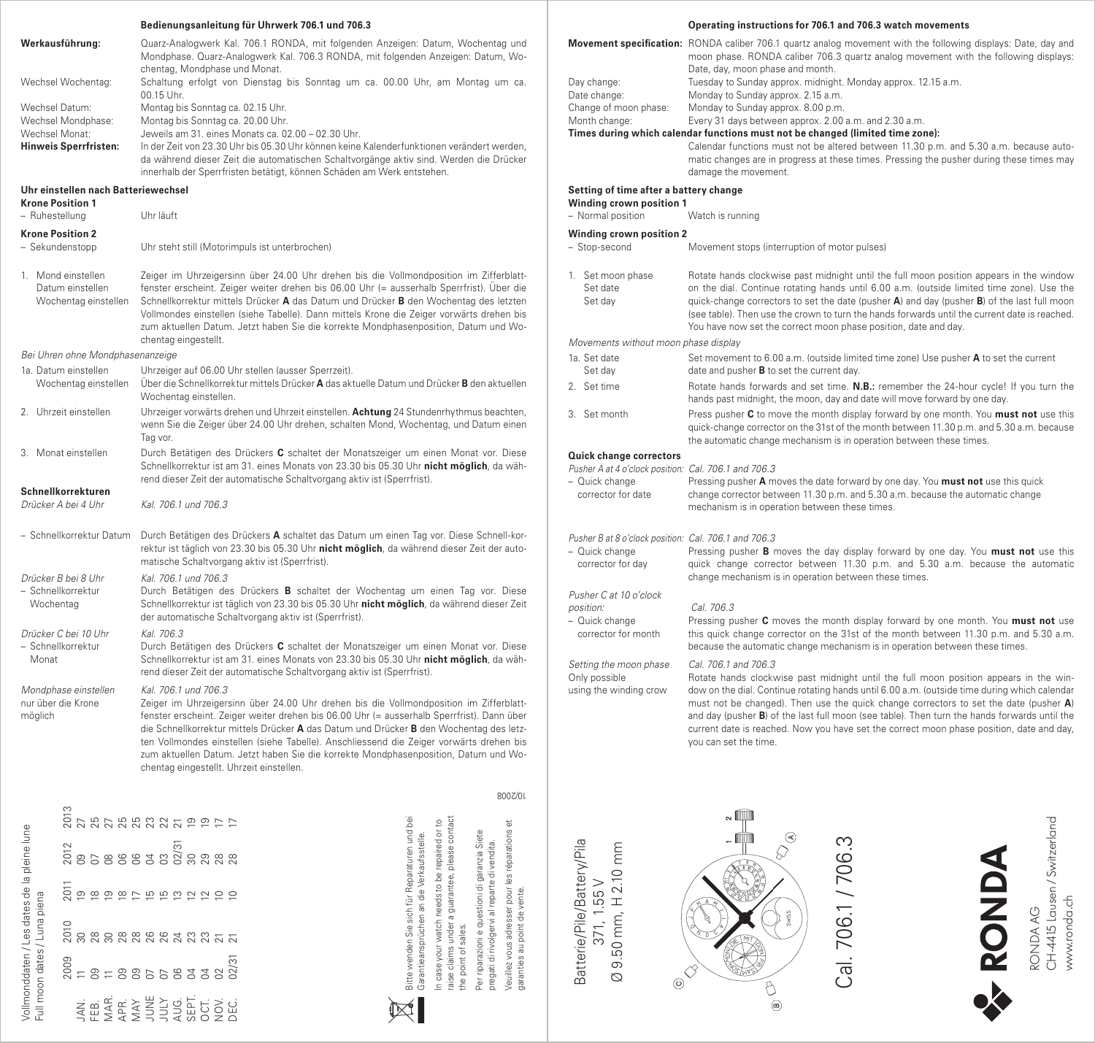| Bedienungsanleitung für Uhrwerk 706.1 und 706.3                                 |                                                                |                                                                                                                                                                                                                                                                                                                                                                                                                                                                                                                                      |  |  |  |  |  |  |  |  |  |
|---------------------------------------------------------------------------------|----------------------------------------------------------------|--------------------------------------------------------------------------------------------------------------------------------------------------------------------------------------------------------------------------------------------------------------------------------------------------------------------------------------------------------------------------------------------------------------------------------------------------------------------------------------------------------------------------------------|--|--|--|--|--|--|--|--|--|
|                                                                                 | Werkausführung:                                                | Quarz-Analogwerk Kal. 706.1 RONDA, mit folgenden Anzeigen: Datum, Wochentag und<br>Mondphase. Quarz-Analogwerk Kal. 706.3 RONDA, mit folgenden Anzeigen: Datum, Wo-<br>chentag, Mondphase und Monat.                                                                                                                                                                                                                                                                                                                                 |  |  |  |  |  |  |  |  |  |
| Wechsel Wochentag:                                                              |                                                                | Schaltung erfolgt von Dienstag bis Sonntag um ca. 00.00 Uhr, am Montag um ca.<br>00.15 Uhr.                                                                                                                                                                                                                                                                                                                                                                                                                                          |  |  |  |  |  |  |  |  |  |
| Wechsel Datum:<br>Wechsel Mondphase:<br>Wechsel Monat:<br>Hinweis Sperrfristen: |                                                                | Montag bis Sonntag ca. 02.15 Uhr.<br>Montag bis Sonntag ca. 20.00 Uhr.<br>Jeweils am 31. eines Monats ca. 02.00 - 02.30 Uhr.<br>In der Zeit von 23.30 Uhr bis 05.30 Uhr können keine Kalenderfunktionen verändert werden,<br>da während dieser Zeit die automatischen Schaltvorgänge aktiv sind. Werden die Drücker<br>innerhalb der Sperrfristen betätigt, können Schäden am Werk entstehen.                                                                                                                                        |  |  |  |  |  |  |  |  |  |
| Uhr einstellen nach Batteriewechsel<br><b>Krone Position 1</b>                  |                                                                |                                                                                                                                                                                                                                                                                                                                                                                                                                                                                                                                      |  |  |  |  |  |  |  |  |  |
| - Ruhestellung                                                                  |                                                                | Uhr läuft                                                                                                                                                                                                                                                                                                                                                                                                                                                                                                                            |  |  |  |  |  |  |  |  |  |
| <b>Krone Position 2</b><br>- Sekundenstopp                                      |                                                                | Uhr steht still (Motorimpuls ist unterbrochen)                                                                                                                                                                                                                                                                                                                                                                                                                                                                                       |  |  |  |  |  |  |  |  |  |
|                                                                                 | 1. Mond einstellen<br>Datum einstellen<br>Wochentag einstellen | Zeiger im Uhrzeigersinn über 24.00 Uhr drehen bis die Vollmondposition im Zifferblatt-<br>fenster erscheint. Zeiger weiter drehen bis 06.00 Uhr (= ausserhalb Sperrfrist). Über die<br>Schnellkorrektur mittels Drücker A das Datum und Drücker B den Wochentag des letzten<br>Vollmondes einstellen (siehe Tabelle). Dann mittels Krone die Zeiger vorwärts drehen bis<br>zum aktuellen Datum. Jetzt haben Sie die korrekte Mondphasenposition, Datum und Wo-<br>chentag eingestellt.                                               |  |  |  |  |  |  |  |  |  |
|                                                                                 | Bei Uhren ohne Mondphasenanzeige                               |                                                                                                                                                                                                                                                                                                                                                                                                                                                                                                                                      |  |  |  |  |  |  |  |  |  |
| 1a. Datum einstellen<br>Wochentag einstellen                                    |                                                                | Uhrzeiger auf 06.00 Uhr stellen (ausser Sperrzeit).<br>Über die Schnellkorrektur mittels Drücker A das aktuelle Datum und Drücker B den aktuellen<br>Wochentag einstellen.                                                                                                                                                                                                                                                                                                                                                           |  |  |  |  |  |  |  |  |  |
| 2. Uhrzeit einstellen                                                           |                                                                | Uhrzeiger vorwärts drehen und Uhrzeit einstellen. Achtung 24 Stundenrhythmus beachten,<br>wenn Sie die Zeiger über 24.00 Uhr drehen, schalten Mond, Wochentag, und Datum einen<br>Tag vor.                                                                                                                                                                                                                                                                                                                                           |  |  |  |  |  |  |  |  |  |
| 3. Monat einstellen                                                             |                                                                | Durch Betätigen des Drückers C schaltet der Monatszeiger um einen Monat vor. Diese<br>Schnellkorrektur ist am 31. eines Monats von 23.30 bis 05.30 Uhr nicht möglich, da wäh-                                                                                                                                                                                                                                                                                                                                                        |  |  |  |  |  |  |  |  |  |
| Schnellkorrekturen<br>Drücker A bei 4 Uhr                                       |                                                                | rend dieser Zeit der automatische Schaltvorgang aktiv ist (Sperrfrist).<br>Kal. 706.1 und 706.3                                                                                                                                                                                                                                                                                                                                                                                                                                      |  |  |  |  |  |  |  |  |  |
| - Schnellkorrektur Datum                                                        |                                                                | Durch Betätigen des Drückers A schaltet das Datum um einen Tag vor. Diese Schnell-kor-<br>rektur ist täglich von 23.30 bis 05.30 Uhr nicht möglich, da während dieser Zeit der auto-<br>matische Schaltvorgang aktiv ist (Sperrfrist).                                                                                                                                                                                                                                                                                               |  |  |  |  |  |  |  |  |  |
| Drücker B bei 8 Uhr<br>- Schnellkorrektur<br>Wochentag                          |                                                                | Kal. 706.1 und 706.3<br>Durch Betätigen des Drückers B schaltet der Wochentag um einen Tag vor. Diese<br>Schnellkorrektur ist täglich von 23.30 bis 05.30 Uhr nicht möglich, da während dieser Zeit<br>der automatische Schaltvorgang aktiv ist (Sperrfrist).                                                                                                                                                                                                                                                                        |  |  |  |  |  |  |  |  |  |
| Drücker C bei 10 Uhr<br>- Schnellkorrektur<br>Monat                             |                                                                | Kal. 706.3<br>Durch Betätigen des Drückers C schaltet der Monatszeiger um einen Monat vor. Diese<br>Schnellkorrektur ist am 31. eines Monats von 23.30 bis 05.30 Uhr nicht möglich, da wäh-<br>rend dieser Zeit der automatische Schaltvorgang aktiv ist (Sperrfrist).                                                                                                                                                                                                                                                               |  |  |  |  |  |  |  |  |  |
| Mondphase einstellen<br>nur über die Krone<br>möglich                           |                                                                | Kal. 706.1 und 706.3<br>Zeiger im Uhrzeigersinn über 24.00 Uhr drehen bis die Vollmondposition im Zifferblatt-<br>fenster erscheint. Zeiger weiter drehen bis 06.00 Uhr (= ausserhalb Sperrfrist). Dann über<br>die Schnellkorrektur mittels Drücker A das Datum und Drücker B den Wochentag des letz-<br>ten Vollmondes einstellen (siehe Tabelle). Anschliessend die Zeiger vorwärts drehen bis<br>zum aktuellen Datum. Jetzt haben Sie die korrekte Mondphasenposition, Datum und Wo-<br>chentag eingestellt. Uhrzeit einstellen. |  |  |  |  |  |  |  |  |  |
|                                                                                 |                                                                | 800Z/0L                                                                                                                                                                                                                                                                                                                                                                                                                                                                                                                              |  |  |  |  |  |  |  |  |  |
| gun                                                                             |                                                                | o<br>ក្តី ក្តី ក្តី ក្តី ក្តី ក្តី ក្តី ក្តី<br>ក្តី<br>ä<br>$\overline{e}$<br>S,                                                                                                                                                                                                                                                                                                                                                                                                                                                    |  |  |  |  |  |  |  |  |  |
|                                                                                 | 2012<br>8588838                                                | n<br>ටිලි න ස ස                                                                                                                                                                                                                                                                                                                                                                                                                                                                                                                      |  |  |  |  |  |  |  |  |  |
| Vollmonddaten / Les dates de la pleine                                          |                                                                | Bitte wenden Sie sich für Reparaturen und bei<br>Garantieansprüchen an die Verkaufsstelle.<br>In case your watch needs to be repaired or to<br>raise claims under a guarantee, please contact<br>Veuillez vous adresser pour les réparation<br>Per riparazioni e questioni di garanzia Sie<br>pregati di rivolgervi al reparte di vendita                                                                                                                                                                                            |  |  |  |  |  |  |  |  |  |
|                                                                                 | 2010<br>28                                                     | ន្ត្រីន្តនិងដូងដូ                                                                                                                                                                                                                                                                                                                                                                                                                                                                                                                    |  |  |  |  |  |  |  |  |  |
| Full moon dates / Luna piena                                                    | 2009<br>g                                                      | garanties au point de vente.<br>the point of sales.<br>02/31<br>8558<br>$\mathbb{S}$<br>3                                                                                                                                                                                                                                                                                                                                                                                                                                            |  |  |  |  |  |  |  |  |  |
|                                                                                 | FEB.<br>NAR.<br>SQR.<br>ΧŅ.                                    | san<br>Sang<br>Sang<br>$\sum_{i=1}^{n}$<br>OCT.<br>NON.<br>DEC.                                                                                                                                                                                                                                                                                                                                                                                                                                                                      |  |  |  |  |  |  |  |  |  |

|                                                                                              | Operating instructions for 706.1 and 706.3 watch movements                                                                                                                                                                                                                                                                                                                                                                                                                                                                  |  |  |  |  |  |  |  |  |  |
|----------------------------------------------------------------------------------------------|-----------------------------------------------------------------------------------------------------------------------------------------------------------------------------------------------------------------------------------------------------------------------------------------------------------------------------------------------------------------------------------------------------------------------------------------------------------------------------------------------------------------------------|--|--|--|--|--|--|--|--|--|
| Day change:                                                                                  | Movement specification: RONDA caliber 706.1 quartz analog movement with the following displays: Date, day and<br>moon phase. RONDA caliber 706.3 quartz analog movement with the following displays:<br>Date, day, moon phase and month.<br>Tuesday to Sunday approx. midnight. Monday approx. 12.15 a.m.                                                                                                                                                                                                                   |  |  |  |  |  |  |  |  |  |
| Date change:<br>Change of moon phase:<br>Month change:                                       | Monday to Sunday approx. 2.15 a.m.<br>Monday to Sunday approx, 8.00 p.m.<br>Every 31 days between approx. 2.00 a.m. and 2.30 a.m.                                                                                                                                                                                                                                                                                                                                                                                           |  |  |  |  |  |  |  |  |  |
| Times during which calendar functions must not be changed (limited time zone):               |                                                                                                                                                                                                                                                                                                                                                                                                                                                                                                                             |  |  |  |  |  |  |  |  |  |
|                                                                                              | Calendar functions must not be altered between 11.30 p.m. and 5.30 a.m. because auto-<br>matic changes are in progress at these times. Pressing the pusher during these times may<br>damage the movement.                                                                                                                                                                                                                                                                                                                   |  |  |  |  |  |  |  |  |  |
| Setting of time after a battery change                                                       |                                                                                                                                                                                                                                                                                                                                                                                                                                                                                                                             |  |  |  |  |  |  |  |  |  |
| Winding crown position 1<br>- Normal position                                                | Watch is running                                                                                                                                                                                                                                                                                                                                                                                                                                                                                                            |  |  |  |  |  |  |  |  |  |
|                                                                                              |                                                                                                                                                                                                                                                                                                                                                                                                                                                                                                                             |  |  |  |  |  |  |  |  |  |
| <b>Winding crown position 2</b><br>- Stop-second                                             | Movement stops (interruption of motor pulses)                                                                                                                                                                                                                                                                                                                                                                                                                                                                               |  |  |  |  |  |  |  |  |  |
| 1. Set moon phase<br>Set date<br>Set day                                                     | Rotate hands clockwise past midnight until the full moon position appears in the window<br>on the dial. Continue rotating hands until 6.00 a.m. (outside limited time zone). Use the<br>quick-change correctors to set the date (pusher $\mathsf{A}$ ) and day (pusher $\mathsf{B}$ ) of the last full moon<br>(see table). Then use the crown to turn the hands forwards until the current date is reached.<br>You have now set the correct moon phase position, date and day.                                             |  |  |  |  |  |  |  |  |  |
| Movements without moon phase display                                                         |                                                                                                                                                                                                                                                                                                                                                                                                                                                                                                                             |  |  |  |  |  |  |  |  |  |
| 1a. Set date<br>Set day                                                                      | Set movement to 6.00 a.m. (outside limited time zone) Use pusher A to set the current<br>date and pusher <b>B</b> to set the current day.                                                                                                                                                                                                                                                                                                                                                                                   |  |  |  |  |  |  |  |  |  |
| 2. Set time                                                                                  | Rotate hands forwards and set time. N.B.: remember the 24-hour cycle! If you turn the<br>hands past midnight, the moon, day and date will move forward by one day.                                                                                                                                                                                                                                                                                                                                                          |  |  |  |  |  |  |  |  |  |
| 3. Set month                                                                                 | Press pusher C to move the month display forward by one month. You must not use this<br>quick-change corrector on the 31st of the month between 11.30 p.m. and 5.30 a.m. because<br>the automatic change mechanism is in operation between these times.                                                                                                                                                                                                                                                                     |  |  |  |  |  |  |  |  |  |
| Quick change correctors                                                                      |                                                                                                                                                                                                                                                                                                                                                                                                                                                                                                                             |  |  |  |  |  |  |  |  |  |
| Pusher A at 4 o'clock position: Cal. 706.1 and 706.3<br>- Quick change<br>corrector for date | Pressing pusher A moves the date forward by one day. You must not use this quick<br>change corrector between 11.30 p.m. and 5.30 a.m. because the automatic change<br>mechanism is in operation between these times.                                                                                                                                                                                                                                                                                                        |  |  |  |  |  |  |  |  |  |
| Pusher B at 8 o'clock position: Cal. 706.1 and 706.3                                         |                                                                                                                                                                                                                                                                                                                                                                                                                                                                                                                             |  |  |  |  |  |  |  |  |  |
| - Quick change<br>corrector for day                                                          | Pressing pusher <b>B</b> moves the day display forward by one day. You must not use this<br>quick change corrector between 11.30 p.m. and 5.30 a.m. because the automatic<br>change mechanism is in operation between these times.                                                                                                                                                                                                                                                                                          |  |  |  |  |  |  |  |  |  |
| Pusher C at 10 o'clock                                                                       |                                                                                                                                                                                                                                                                                                                                                                                                                                                                                                                             |  |  |  |  |  |  |  |  |  |
| position:<br>- Quick change<br>corrector for month                                           | Cal. 706.3<br>Pressing pusher C moves the month display forward by one month. You must not use<br>this quick change corrector on the 31st of the month between 11.30 p.m. and 5.30 a.m.<br>because the automatic change mechanism is in operation between these times.                                                                                                                                                                                                                                                      |  |  |  |  |  |  |  |  |  |
| Setting the moon phase<br>Only possible<br>using the winding crow                            | Cal. 706.1 and 706.3<br>Rotate hands clockwise past midnight until the full moon position appears in the win-<br>dow on the dial. Continue rotating hands until 6.00 a.m. (outside time during which calendar<br>must not be changed). Then use the quick change correctors to set the date (pusher A)<br>and day (pusher B) of the last full moon (see table). Then turn the hands forwards until the<br>current date is reached. Now you have set the correct moon phase position, date and day,<br>you can set the time. |  |  |  |  |  |  |  |  |  |



Batterie/Pile/Battery/Pila 371, 1.55 V Ø 9.50 mm, H 2.10 mm

371, 1.55 V

Batterie/Pile/Battery/Pila Ø 9.50 mm, H 2.10 mm

RONDA AG<br>CH-4415 Lausen / Switzerland<br>www.ronda.ch CH-4415 Lausen/Switzerland **A RONDA** www.ronda.ch RONDA AG